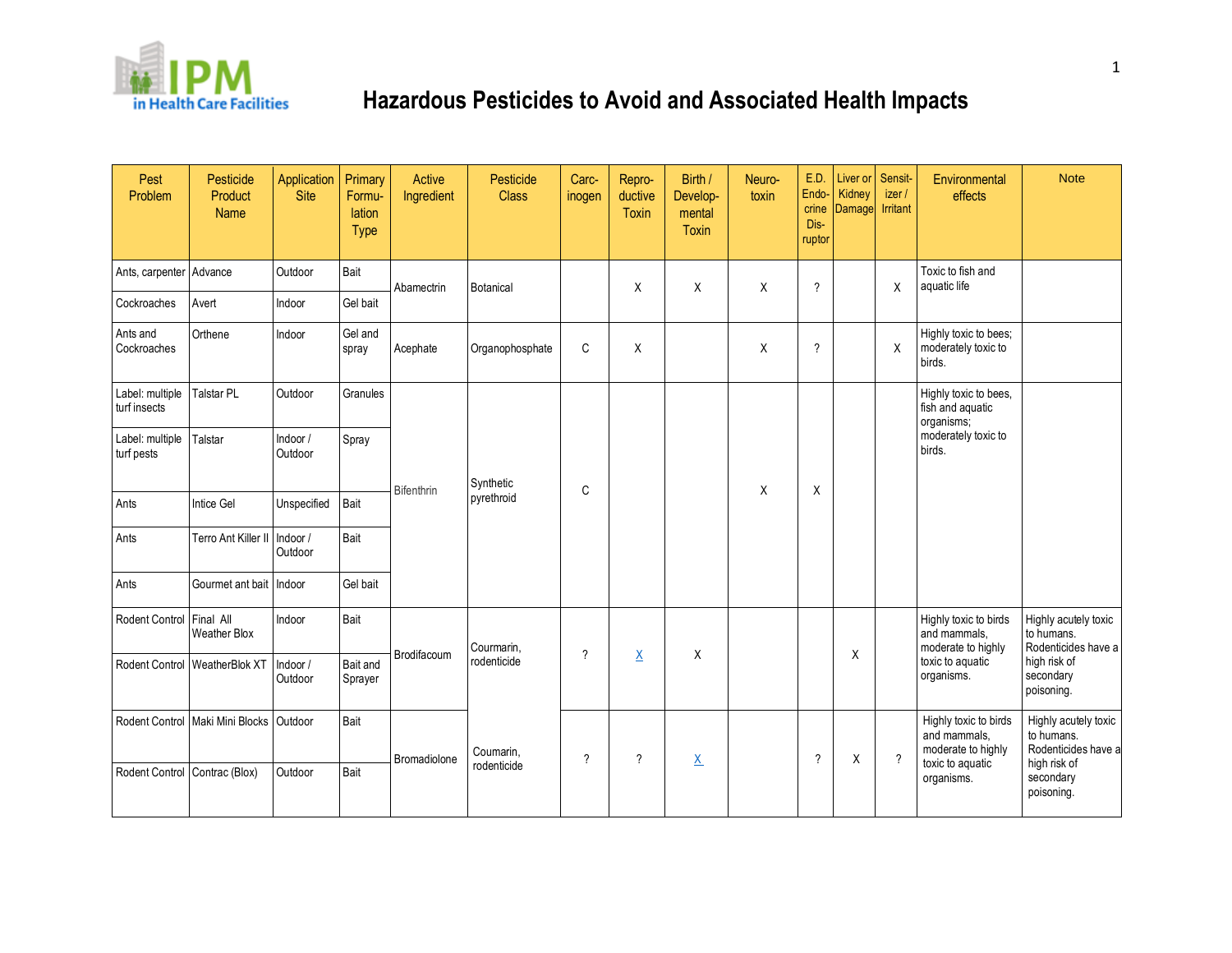

| Pest<br>Problem                 | Pesticide<br>Product<br><b>Name</b>       | Application<br><b>Site</b> | Primary<br>Formu-<br>lation<br><b>Type</b> | <b>Active</b><br>Ingredient | Pesticide<br><b>Class</b> | Carc-<br>inogen | Repro-<br>ductive<br><b>Toxin</b> | Birth /<br>Develop-<br>mental<br><b>Toxin</b> | Neuro-<br>toxin | E.D.<br>Endo-<br>crine<br>Dis-<br>ruptor | Liver or<br>Kidney<br>Damage | Sensit-<br>izer/<br>Irritant | Environmental<br>effects                                                                      | <b>Note</b>                                                                                          |
|---------------------------------|-------------------------------------------|----------------------------|--------------------------------------------|-----------------------------|---------------------------|-----------------|-----------------------------------|-----------------------------------------------|-----------------|------------------------------------------|------------------------------|------------------------------|-----------------------------------------------------------------------------------------------|------------------------------------------------------------------------------------------------------|
| Ants, carpenter Advance         |                                           | Outdoor                    | Bait                                       | Abamectrin                  | Botanical                 |                 | X                                 | X                                             | X               | $\gamma$                                 |                              | X                            | Toxic to fish and<br>aquatic life                                                             |                                                                                                      |
| Cockroaches                     | Avert                                     | Indoor                     | Gel bait                                   |                             |                           |                 |                                   |                                               |                 |                                          |                              |                              |                                                                                               |                                                                                                      |
| Ants and<br>Cockroaches         | Orthene                                   | Indoor                     | Gel and<br>spray                           | Acephate                    | Organophosphate           | C               | X                                 |                                               | X               | $\gamma$                                 |                              | X                            | Highly toxic to bees;<br>moderately toxic to<br>birds.                                        |                                                                                                      |
| Label: multiple<br>turf insects | <b>Talstar PL</b>                         | Outdoor                    | Granules                                   | Bifenthrin                  | Synthetic<br>pyrethroid   | C               |                                   |                                               |                 |                                          |                              |                              | Highly toxic to bees,<br>fish and aquatic<br>organisms;                                       |                                                                                                      |
| Label: multiple<br>turf pests   | Talstar                                   | Indoor /<br>Outdoor        | Spray                                      |                             |                           |                 |                                   |                                               |                 |                                          |                              |                              | moderately toxic to<br>birds.                                                                 |                                                                                                      |
| Ants                            | Intice Gel                                | Unspecified                | Bait                                       |                             |                           |                 |                                   |                                               | X               | X                                        |                              |                              |                                                                                               |                                                                                                      |
| Ants                            | Terro Ant Killer II                       | Indoor /<br>Outdoor        | Bait                                       |                             |                           |                 |                                   |                                               |                 |                                          |                              |                              |                                                                                               |                                                                                                      |
| Ants                            | Gourmet ant bait   Indoor                 |                            | Gel bait                                   |                             |                           |                 |                                   |                                               |                 |                                          |                              |                              |                                                                                               |                                                                                                      |
| Rodent Control                  | Final All<br><b>Weather Blox</b>          | Indoor                     | Bait                                       |                             | Courmarin,                |                 |                                   |                                               |                 |                                          | Χ                            |                              | Highly toxic to birds<br>and mammals,<br>moderate to highly<br>toxic to aquatic<br>organisms. | Highly acutely toxic<br>to humans.<br>Rodenticides have a<br>high risk of<br>secondary<br>poisoning. |
| Rodent Control                  | WeatherBlok XT                            | Indoor /<br>Outdoor        | Bait and<br>Sprayer                        | Brodifacoum                 | rodenticide               | ?               | $\underline{\mathsf{X}}$          | X                                             |                 |                                          |                              |                              |                                                                                               |                                                                                                      |
|                                 | Rodent Control Maki Mini Blocks   Outdoor |                            | Bait                                       | Bromadiolone                | Coumarin,                 | ?               | $\overline{\phantom{a}}$          | $\underline{X}$                               |                 | ?                                        | Χ                            | $\overline{?}$               | Highly toxic to birds<br>and mammals,<br>moderate to highly                                   | Highly acutely toxic<br>to humans.<br>Rodenticides have a                                            |
| Rodent Control Contrac (Blox)   |                                           | Outdoor                    | Bait                                       |                             | rodenticide               |                 |                                   |                                               |                 |                                          |                              |                              | toxic to aquatic<br>organisms.                                                                | high risk of<br>secondary<br>poisoning.                                                              |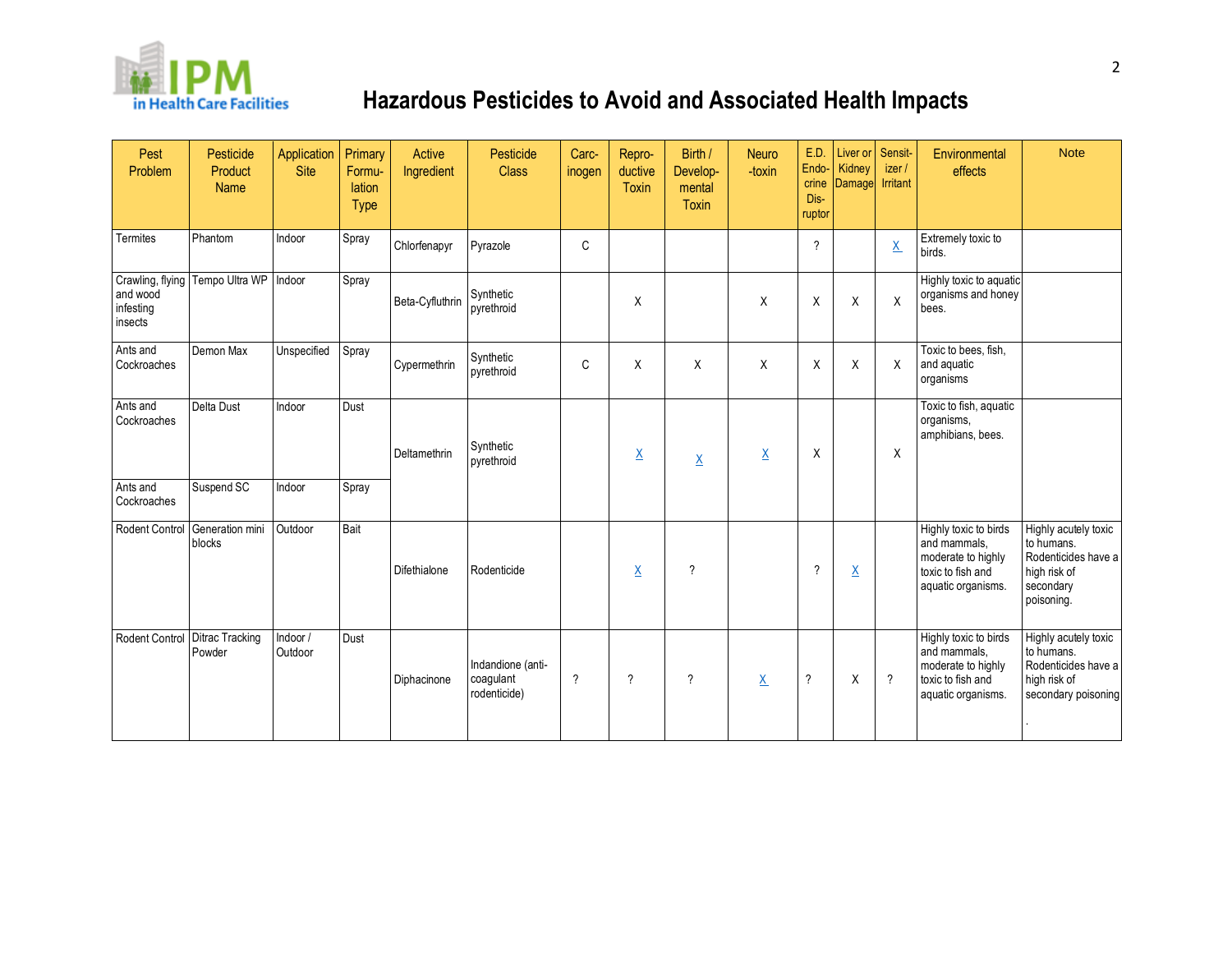

| Pest<br>Problem                  | Pesticide<br>Product<br><b>Name</b>    | Application<br><b>Site</b> | Primary<br>Formu-<br>lation<br><b>Type</b> | Active<br>Ingredient | Pesticide<br><b>Class</b>                      | Carc-<br>inogen | Repro-<br>ductive<br><b>Toxin</b> | Birth /<br>Develop-<br>mental<br>Toxin | Neuro<br>-toxin | E.D.<br>Endo-<br>crine<br>Dis-<br>ruptor | Liver or Sensit-<br>Kidney<br>Damage | izer /<br><b>Irritant</b> | Environmental<br>effects                                                                               | <b>Note</b>                                                                                          |
|----------------------------------|----------------------------------------|----------------------------|--------------------------------------------|----------------------|------------------------------------------------|-----------------|-----------------------------------|----------------------------------------|-----------------|------------------------------------------|--------------------------------------|---------------------------|--------------------------------------------------------------------------------------------------------|------------------------------------------------------------------------------------------------------|
| Termites                         | Phantom                                | Indoor                     | Spray                                      | Chlorfenapyr         | Pyrazole                                       | C               |                                   |                                        |                 | $\gamma$                                 |                                      | $\underline{X}$           | Extremely toxic to<br>birds.                                                                           |                                                                                                      |
| and wood<br>infesting<br>insects | Crawling, flying Tempo Ultra WP Indoor |                            | Spray                                      | Beta-Cyfluthrin      | Synthetic<br>pyrethroid                        |                 | X                                 |                                        | Χ               | X                                        | Χ                                    | X                         | Highly toxic to aquatic<br>organisms and honey<br>bees.                                                |                                                                                                      |
| Ants and<br>Cockroaches          | Demon Max                              | Unspecified                | Spray                                      | Cypermethrin         | Synthetic<br>pyrethroid                        | C               | X                                 | X                                      | Χ               | X                                        | X                                    | X                         | Toxic to bees, fish,<br>and aquatic<br>organisms                                                       |                                                                                                      |
| Ants and<br>Cockroaches          | <b>Delta Dust</b>                      | Indoor                     | Dust                                       | Deltamethrin         | Synthetic<br>pyrethroid                        |                 | $\underline{X}$                   | $\underline{X}$                        | $\underline{X}$ | Χ                                        |                                      | X                         | Toxic to fish, aquatic<br>organisms,<br>amphibians, bees.                                              |                                                                                                      |
| Ants and<br>Cockroaches          | Suspend SC                             | Indoor                     | Spray                                      |                      |                                                |                 |                                   |                                        |                 |                                          |                                      |                           |                                                                                                        |                                                                                                      |
| <b>Rodent Control</b>            | Generation mini<br>blocks              | Outdoor                    | Bait                                       | Difethialone         | Rodenticide                                    |                 | $\underline{\mathsf{X}}$          | $\overline{\phantom{a}}$               |                 | $\gamma$                                 | $\underline{\mathsf{X}}$             |                           | Highly toxic to birds<br>and mammals,<br>moderate to highly<br>toxic to fish and<br>aquatic organisms. | Highly acutely toxic<br>to humans.<br>Rodenticides have a<br>high risk of<br>secondary<br>poisoning. |
| Rodent Control Ditrac Tracking   | Powder                                 | Indoor /<br>Outdoor        | Dust                                       | Diphacinone          | Indandione (anti-<br>coagulant<br>rodenticide) | $\gamma$        | $\gamma$                          | $\gamma$                               | $\underline{X}$ | $\gamma$                                 | X                                    | $\gamma$                  | Highly toxic to birds<br>and mammals,<br>moderate to highly<br>toxic to fish and<br>aquatic organisms. | Highly acutely toxic<br>to humans.<br>Rodenticides have a<br>high risk of<br>secondary poisoning     |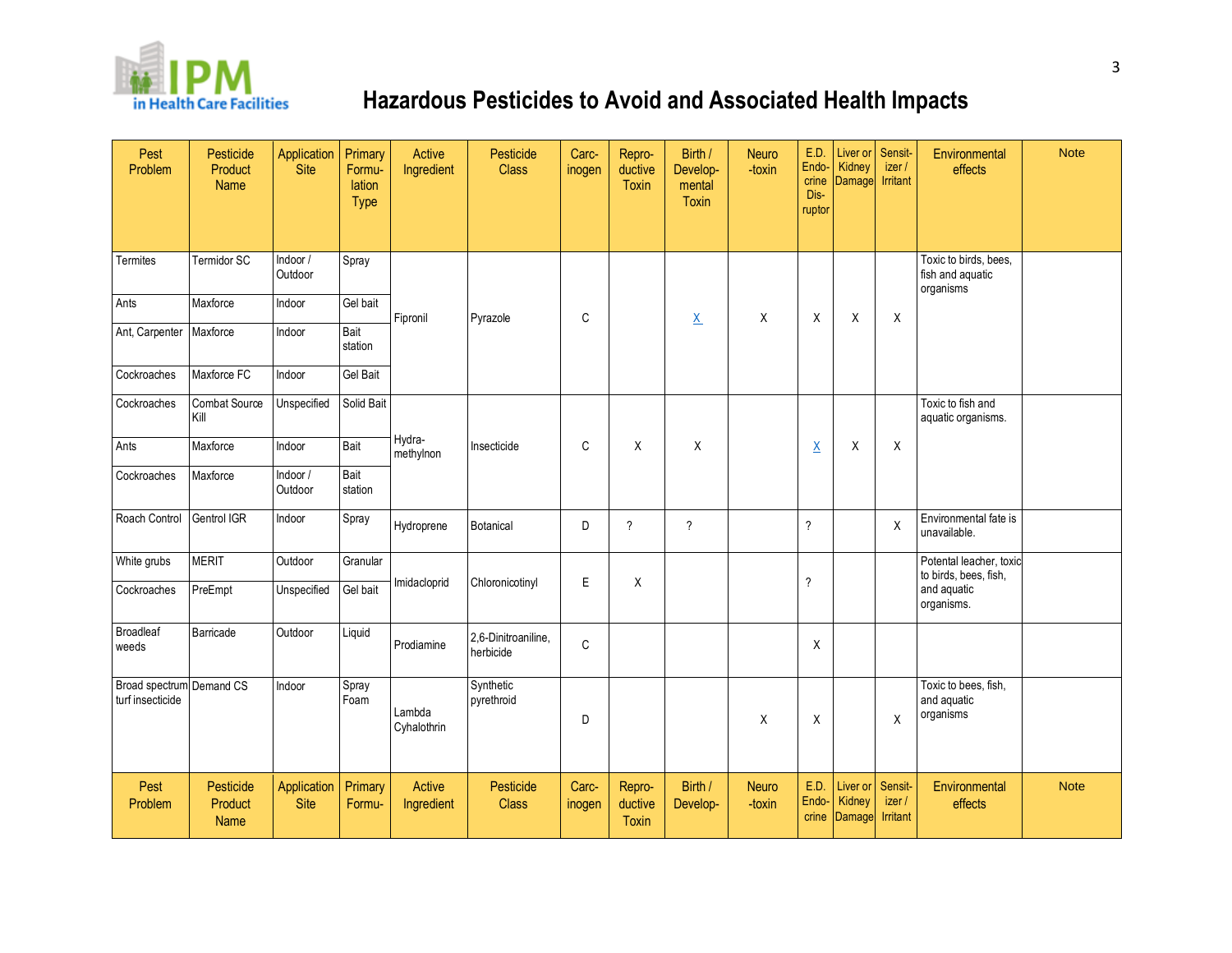

| Pest<br>Problem                              | Pesticide<br>Product<br>Name | Application<br>Site        | Primary<br>Formu-<br><b>lation</b><br><b>Type</b> | Active<br>Ingredient  | Pesticide<br><b>Class</b>        | Carc-<br>inogen | Repro-<br>ductive<br><b>Toxin</b> | Birth /<br>Develop-<br>mental<br>Toxin | <b>Neuro</b><br>-toxin | E.D.<br>Endo-<br>crine<br>Dis-<br>ruptor | Liver or<br>Kidney<br>Damage | Sensit-<br>izer /<br><b>Irritant</b> | Environmental<br>effects                               | <b>Note</b> |
|----------------------------------------------|------------------------------|----------------------------|---------------------------------------------------|-----------------------|----------------------------------|-----------------|-----------------------------------|----------------------------------------|------------------------|------------------------------------------|------------------------------|--------------------------------------|--------------------------------------------------------|-------------|
| <b>Termites</b>                              | Termidor SC                  | Indoor /<br>Outdoor        | Spray                                             |                       |                                  |                 |                                   |                                        |                        |                                          |                              |                                      | Toxic to birds, bees,<br>fish and aquatic<br>organisms |             |
| Ants                                         | Maxforce                     | Indoor                     | Gel bait                                          | Fipronil              | Pyrazole                         | C               |                                   | $\underline{X}$                        | Χ                      | X                                        | X                            | X                                    |                                                        |             |
| Ant, Carpenter                               | Maxforce                     | Indoor                     | Bait<br>station                                   |                       |                                  |                 |                                   |                                        |                        |                                          |                              |                                      |                                                        |             |
| Cockroaches                                  | Maxforce FC                  | Indoor                     | <b>Gel Bait</b>                                   |                       |                                  |                 |                                   |                                        |                        |                                          |                              |                                      |                                                        |             |
| Cockroaches                                  | <b>Combat Source</b><br>Kill | Unspecified                | Solid Bait                                        |                       |                                  |                 |                                   |                                        |                        |                                          |                              |                                      | Toxic to fish and<br>aquatic organisms.                |             |
| Ants                                         | Maxforce                     | Indoor                     | Bait                                              | Hydra-<br>methylnon   | Insecticide                      | C               | X                                 | X                                      |                        | $\underline{X}$                          | Χ                            | X                                    |                                                        |             |
| Cockroaches                                  | Maxforce                     | Indoor /<br>Outdoor        | Bait<br>station                                   |                       |                                  |                 |                                   |                                        |                        |                                          |                              |                                      |                                                        |             |
| Roach Control                                | Gentrol IGR                  | Indoor                     | Spray                                             | Hydroprene            | Botanical                        | D               | $\gamma$                          | $\overline{?}$                         |                        | $\overline{\phantom{a}}$                 |                              | X                                    | Environmental fate is<br>unavailable.                  |             |
| White grubs                                  | <b>MERIT</b>                 | Outdoor                    | Granular                                          |                       |                                  |                 |                                   |                                        |                        |                                          |                              |                                      | Potental leacher, toxic<br>to birds, bees, fish,       |             |
| Cockroaches                                  | PreEmpt                      | Unspecified                | Gel bait                                          | Imidacloprid          | Chloronicotinyl                  | Ε               | X                                 |                                        |                        | $\boldsymbol{\mathcal{P}}$               |                              |                                      | and aquatic<br>organisms.                              |             |
| <b>Broadleaf</b><br>weeds                    | Barricade                    | Outdoor                    | Liquid                                            | Prodiamine            | 2,6-Dinitroaniline,<br>herbicide | $\mathsf C$     |                                   |                                        |                        | X                                        |                              |                                      |                                                        |             |
| Broad spectrum Demand CS<br>turf insecticide |                              | Indoor                     | Spray<br>Foam                                     | Lambda<br>Cyhalothrin | Synthetic<br>pyrethroid          | D               |                                   |                                        | X                      | X                                        |                              | X                                    | Toxic to bees, fish,<br>and aquatic<br>organisms       |             |
| Pest<br>Problem                              | Pesticide<br>Product<br>Name | Application<br><b>Site</b> | Primary<br>Formu-                                 | Active<br>Ingredient  | Pesticide<br><b>Class</b>        | Carc-<br>inogen | Repro-<br>ductive<br><b>Toxin</b> | Birth /<br>Develop-                    | Neuro<br>-toxin        | E.D.<br>Endo-<br>crine                   | Liver or<br>Kidney<br>Damage | Sensit-<br>izer /<br>Irritant        | Environmental<br>effects                               | <b>Note</b> |